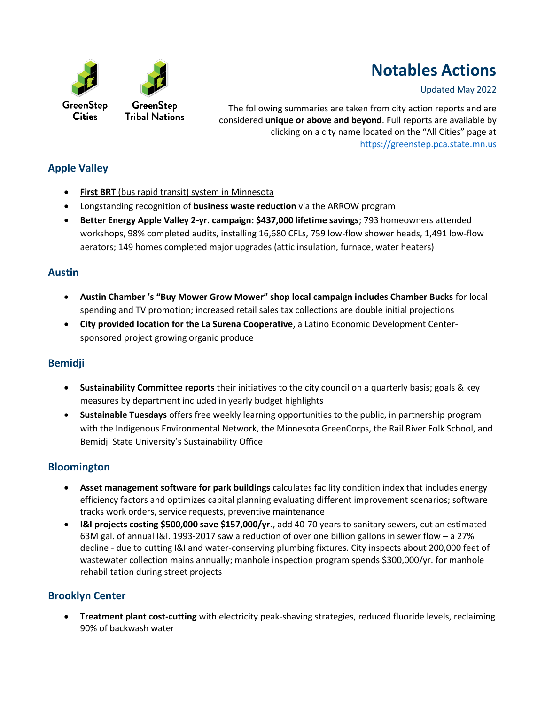

# **Notables Actions**

#### Updated May 2022

The following summaries are taken from city action reports and are considered **unique or above and beyond**. Full reports are available by clicking on a city name located on the "All Cities" page at [https://greenstep.pca.state.mn.us](https://greenstep.pca.state.mn.us/)

# **Apple Valley**

- **First BRT** (bus rapid transit) system in Minnesota
- Longstanding recognition of **business waste reduction** via the ARROW program
- **Better Energy Apple Valley 2-yr. campaign: \$437,000 lifetime savings**; 793 homeowners attended workshops, 98% completed audits, installing 16,680 CFLs, 759 low-flow shower heads, 1,491 low-flow aerators; 149 homes completed major upgrades (attic insulation, furnace, water heaters)

# **Austin**

- **Austin Chamber 's "Buy Mower Grow Mower" shop local campaign includes Chamber Bucks** for local spending and TV promotion; increased retail sales tax collections are double initial projections
- **City provided location for the La Surena Cooperative**, a Latino Economic Development Centersponsored project growing organic produce

# **Bemidji**

- **Sustainability Committee reports** their initiatives to the city council on a quarterly basis; goals & key measures by department included in yearly budget highlights
- **Sustainable Tuesdays** offers free weekly learning opportunities to the public, in partnership program with the Indigenous Environmental Network, the Minnesota GreenCorps, the Rail River Folk School, and Bemidji State University's Sustainability Office

# **Bloomington**

- **Asset management software for park buildings** calculates facility condition index that includes energy efficiency factors and optimizes capital planning evaluating different improvement scenarios; software tracks work orders, service requests, preventive maintenance
- **I&I projects costing \$500,000 save \$157,000/yr**., add 40-70 years to sanitary sewers, cut an estimated 63M gal. of annual I&I. 1993-2017 saw a reduction of over one billion gallons in sewer flow – a 27% decline - due to cutting I&I and water-conserving plumbing fixtures. City inspects about 200,000 feet of wastewater collection mains annually; manhole inspection program spends \$300,000/yr. for manhole rehabilitation during street projects

# **Brooklyn Center**

• **Treatment plant cost-cutting** with electricity peak-shaving strategies, reduced fluoride levels, reclaiming 90% of backwash water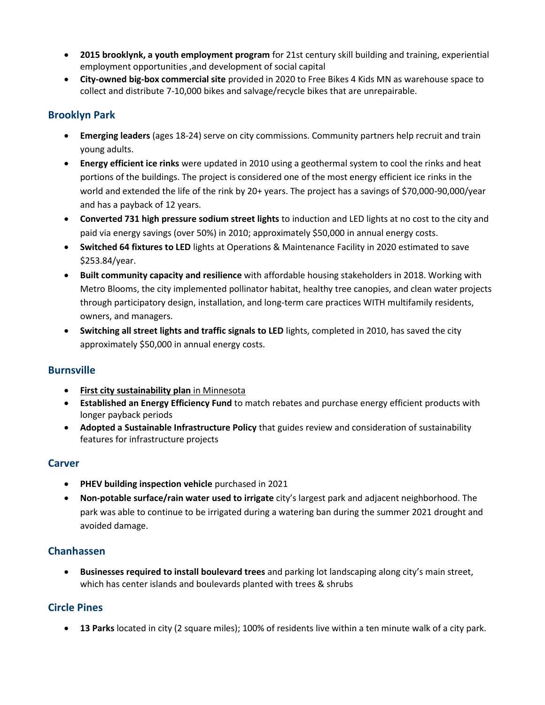- **2015 brooklynk, a youth employment program** for 21st century skill building and training, experiential employment opportunities ,and development of social capital
- **City-owned big-box commercial site** provided in 2020 to Free Bikes 4 Kids MN as warehouse space to collect and distribute 7-10,000 bikes and salvage/recycle bikes that are unrepairable.

## **Brooklyn Park**

- **Emerging leaders** (ages 18-24) serve on city commissions. Community partners help recruit and train young adults.
- **Energy efficient ice rinks** were updated in 2010 using a geothermal system to cool the rinks and heat portions of the buildings. The project is considered one of the most energy efficient ice rinks in the world and extended the life of the rink by 20+ years. The project has a savings of \$70,000-90,000/year and has a payback of 12 years.
- **Converted 731 high pressure sodium street lights** to induction and LED lights at no cost to the city and paid via energy savings (over 50%) in 2010; approximately \$50,000 in annual energy costs.
- **Switched 64 fixtures to LED** lights at Operations & Maintenance Facility in 2020 estimated to save \$253.84/year.
- **Built community capacity and resilience** with affordable housing stakeholders in 2018. Working with Metro Blooms, the city implemented pollinator habitat, healthy tree canopies, and clean water projects through participatory design, installation, and long-term care practices WITH multifamily residents, owners, and managers.
- **Switching all street lights and traffic signals to LED** lights, completed in 2010, has saved the city approximately \$50,000 in annual energy costs.

## **Burnsville**

- **First city sustainability plan** in Minnesota
- **Established an Energy Efficiency Fund** to match rebates and purchase energy efficient products with longer payback periods
- **Adopted a Sustainable Infrastructure Policy** that guides review and consideration of sustainability features for infrastructure projects

## **Carver**

- **PHEV building inspection vehicle** purchased in 2021
- **Non-potable surface/rain water used to irrigate** city's largest park and adjacent neighborhood. The park was able to continue to be irrigated during a watering ban during the summer 2021 drought and avoided damage.

# **Chanhassen**

• **Businesses required to install boulevard trees** and parking lot landscaping along city's main street, which has center islands and boulevards planted with trees & shrubs

# **Circle Pines**

• **13 Parks** located in city (2 square miles); 100% of residents live within a ten minute walk of a city park.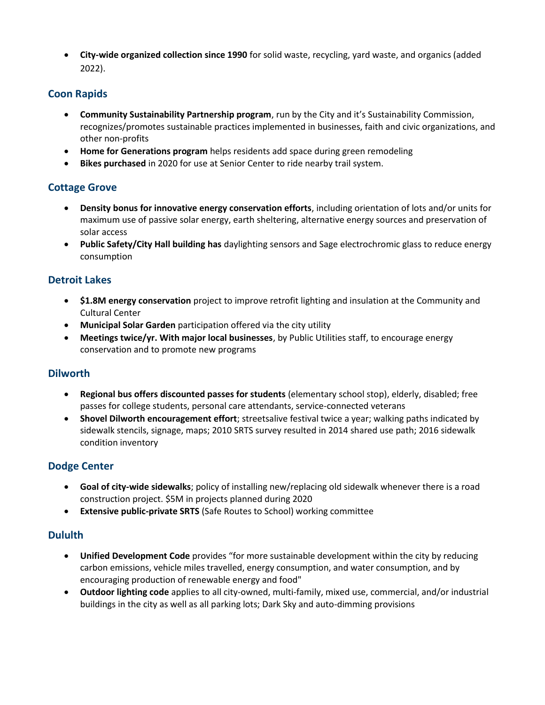• **City-wide organized collection since 1990** for solid waste, recycling, yard waste, and organics (added 2022).

# **Coon Rapids**

- **Community Sustainability Partnership program**, run by the City and it's Sustainability Commission, recognizes/promotes sustainable practices implemented in businesses, faith and civic organizations, and other non-profits
- **Home for Generations program** helps residents add space during green remodeling
- **Bikes purchased** in 2020 for use at Senior Center to ride nearby trail system.

#### **Cottage Grove**

- **Density bonus for innovative energy conservation efforts**, including orientation of lots and/or units for maximum use of passive solar energy, earth sheltering, alternative energy sources and preservation of solar access
- **Public Safety/City Hall building has** daylighting sensors and Sage electrochromic glass to reduce energy consumption

#### **Detroit Lakes**

- **\$1.8M energy conservation** project to improve retrofit lighting and insulation at the Community and Cultural Center
- **Municipal Solar Garden** participation offered via the city utility
- **Meetings twice/yr. With major local businesses**, by Public Utilities staff, to encourage energy conservation and to promote new programs

#### **Dilworth**

- **Regional bus offers discounted passes for students** (elementary school stop), elderly, disabled; free passes for college students, personal care attendants, service-connected veterans
- **Shovel Dilworth encouragement effort**; streetsalive festival twice a year; walking paths indicated by sidewalk stencils, signage, maps; 2010 SRTS survey resulted in 2014 shared use path; 2016 sidewalk condition inventory

## **Dodge Center**

- **Goal of city-wide sidewalks**; policy of installing new/replacing old sidewalk whenever there is a road construction project. \$5M in projects planned during 2020
- **Extensive public-private SRTS** (Safe Routes to School) working committee

## **Dululth**

- **Unified Development Code** provides "for more sustainable development within the city by reducing carbon emissions, vehicle miles travelled, energy consumption, and water consumption, and by encouraging production of renewable energy and food"
- **Outdoor lighting code** applies to all city-owned, multi-family, mixed use, commercial, and/or industrial buildings in the city as well as all parking lots; Dark Sky and auto-dimming provisions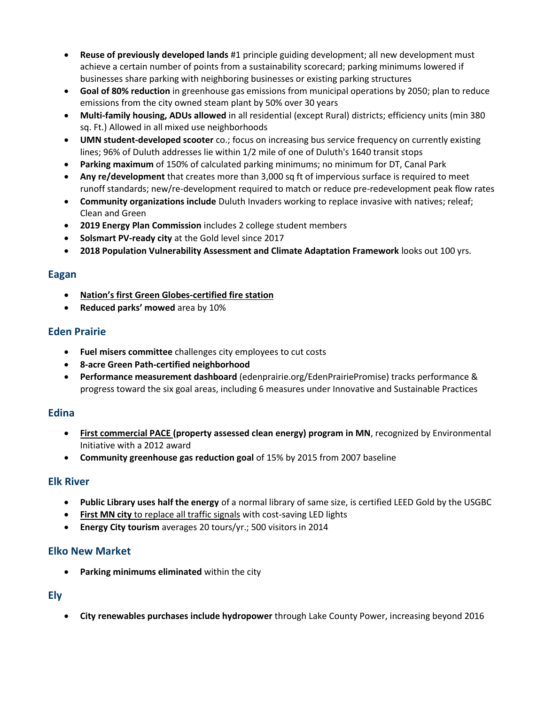- **Reuse of previously developed lands** #1 principle guiding development; all new development must achieve a certain number of points from a sustainability scorecard; parking minimums lowered if businesses share parking with neighboring businesses or existing parking structures
- **Goal of 80% reduction** in greenhouse gas emissions from municipal operations by 2050; plan to reduce emissions from the city owned steam plant by 50% over 30 years
- **Multi-family housing, ADUs allowed** in all residential (except Rural) districts; efficiency units (min 380 sq. Ft.) Allowed in all mixed use neighborhoods
- **UMN student-developed scooter** co.; focus on increasing bus service frequency on currently existing lines; 96% of Duluth addresses lie within 1/2 mile of one of Duluth's 1640 transit stops
- **Parking maximum** of 150% of calculated parking minimums; no minimum for DT, Canal Park
- **Any re/development** that creates more than 3,000 sq ft of impervious surface is required to meet runoff standards; new/re-development required to match or reduce pre-redevelopment peak flow rates
- **Community organizations include** Duluth Invaders working to replace invasive with natives; releaf; Clean and Green
- **2019 Energy Plan Commission** includes 2 college student members
- **Solsmart PV-ready city** at the Gold level since 2017
- **2018 Population Vulnerability Assessment and Climate Adaptation Framework** looks out 100 yrs.

#### **Eagan**

- **Nation's first Green Globes-certified fire station**
- **Reduced parks' mowed** area by 10%

# **Eden Prairie**

- **Fuel misers committee** challenges city employees to cut costs
- **8-acre Green Path-certified neighborhood**
- **Performance measurement dashboard** (edenprairie.org/EdenPrairiePromise) tracks performance & progress toward the six goal areas, including 6 measures under Innovative and Sustainable Practices

## **Edina**

- **First commercial PACE (property assessed clean energy) program in MN**, recognized by Environmental Initiative with a 2012 award
- **Community greenhouse gas reduction goal** of 15% by 2015 from 2007 baseline

## **Elk River**

- **Public Library uses half the energy** of a normal library of same size, is certified LEED Gold by the USGBC
- **First MN city** to replace all traffic signals with cost-saving LED lights
- **Energy City tourism** averages 20 tours/yr.; 500 visitors in 2014

## **Elko New Market**

• **Parking minimums eliminated** within the city

## **Ely**

• **City renewables purchases include hydropower** through Lake County Power, increasing beyond 2016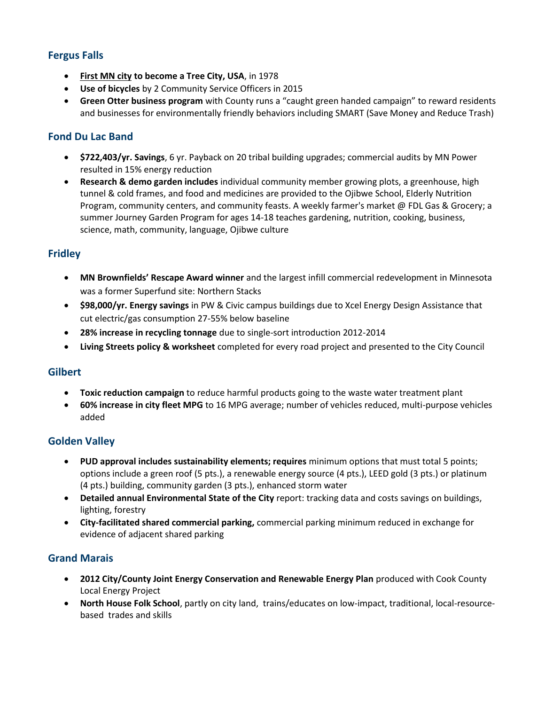# **Fergus Falls**

- **First MN city to become a Tree City, USA**, in 1978
- **Use of bicycles** by 2 Community Service Officers in 2015
- **Green Otter business program** with County runs a "caught green handed campaign" to reward residents and businesses for environmentally friendly behaviors including SMART (Save Money and Reduce Trash)

#### **Fond Du Lac Band**

- **\$722,403/yr. Savings**, 6 yr. Payback on 20 tribal building upgrades; commercial audits by MN Power resulted in 15% energy reduction
- **Research & demo garden includes** individual community member growing plots, a greenhouse, high tunnel & cold frames, and food and medicines are provided to the Ojibwe School, Elderly Nutrition Program, community centers, and community feasts. A weekly farmer's market @ FDL Gas & Grocery; a summer Journey Garden Program for ages 14-18 teaches gardening, nutrition, cooking, business, science, math, community, language, Ojibwe culture

## **Fridley**

- **MN Brownfields' Rescape Award winner** and the largest infill commercial redevelopment in Minnesota was a former Superfund site: Northern Stacks
- **\$98,000/yr. Energy savings** in PW & Civic campus buildings due to Xcel Energy Design Assistance that cut electric/gas consumption 27-55% below baseline
- **28% increase in recycling tonnage** due to single-sort introduction 2012-2014
- **Living Streets policy & worksheet** completed for every road project and presented to the City Council

#### **Gilbert**

- **Toxic reduction campaign** to reduce harmful products going to the waste water treatment plant
- **60% increase in city fleet MPG** to 16 MPG average; number of vehicles reduced, multi-purpose vehicles added

#### **Golden Valley**

- **PUD approval includes sustainability elements; requires** minimum options that must total 5 points; options include a green roof (5 pts.), a renewable energy source (4 pts.), LEED gold (3 pts.) or platinum (4 pts.) building, community garden (3 pts.), enhanced storm water
- **Detailed annual Environmental State of the City** report: tracking data and costs savings on buildings, lighting, forestry
- **City-facilitated shared commercial parking,** commercial parking minimum reduced in exchange for evidence of adjacent shared parking

#### **Grand Marais**

- **2012 City/County Joint Energy Conservation and Renewable Energy Plan** produced with Cook County Local Energy Project
- **North House Folk School**, partly on city land, trains/educates on low-impact, traditional, local-resourcebased trades and skills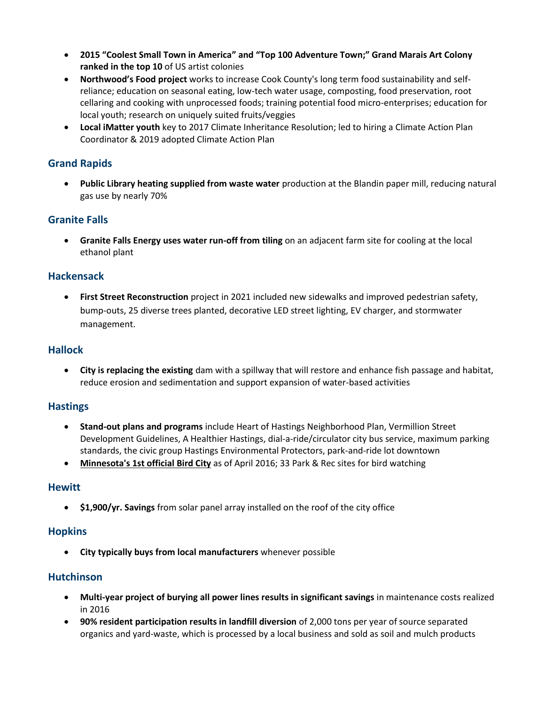- **2015 "Coolest Small Town in America" and "Top 100 Adventure Town;" Grand Marais Art Colony ranked in the top 10** of US artist colonies
- **Northwood's Food project** works to increase Cook County's long term food sustainability and selfreliance; education on seasonal eating, low-tech water usage, composting, food preservation, root cellaring and cooking with unprocessed foods; training potential food micro-enterprises; education for local youth; research on uniquely suited fruits/veggies
- **Local iMatter youth** key to 2017 Climate Inheritance Resolution; led to hiring a Climate Action Plan Coordinator & 2019 adopted Climate Action Plan

## **Grand Rapids**

• **Public Library heating supplied from waste water** production at the Blandin paper mill, reducing natural gas use by nearly 70%

# **Granite Falls**

• **Granite Falls Energy uses water run-off from tiling** on an adjacent farm site for cooling at the local ethanol plant

#### **Hackensack**

• **First Street Reconstruction** project in 2021 included new sidewalks and improved pedestrian safety, bump-outs, 25 diverse trees planted, decorative LED street lighting, EV charger, and stormwater management.

#### **Hallock**

• **City is replacing the existing** dam with a spillway that will restore and enhance fish passage and habitat, reduce erosion and sedimentation and support expansion of water-based activities

## **Hastings**

- **Stand-out plans and programs** include Heart of Hastings Neighborhood Plan, Vermillion Street Development Guidelines, A Healthier Hastings, dial-a-ride/circulator city bus service, maximum parking standards, the civic group Hastings Environmental Protectors, park-and-ride lot downtown
- **Minnesota's 1st official Bird City** as of April 2016; 33 Park & Rec sites for bird watching

#### **Hewitt**

• **\$1,900/yr. Savings** from solar panel array installed on the roof of the city office

#### **Hopkins**

• **City typically buys from local manufacturers** whenever possible

#### **Hutchinson**

- **Multi-year project of burying all power lines results in significant savings** in maintenance costs realized in 2016
- **90% resident participation results in landfill diversion** of 2,000 tons per year of source separated organics and yard-waste, which is processed by a local business and sold as soil and mulch products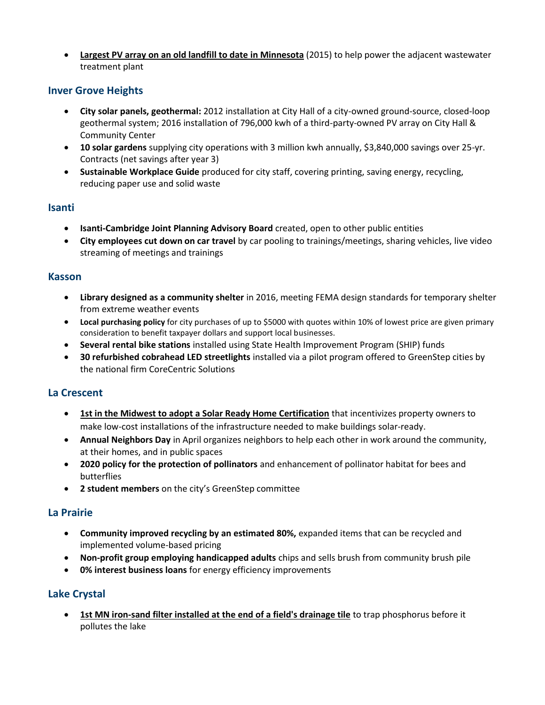• **Largest PV array on an old landfill to date in Minnesota** (2015) to help power the adjacent wastewater treatment plant

## **Inver Grove Heights**

- **City solar panels, geothermal:** 2012 installation at City Hall of a city-owned ground-source, closed-loop geothermal system; 2016 installation of 796,000 kwh of a third-party-owned PV array on City Hall & Community Center
- **10 solar gardens** supplying city operations with 3 million kwh annually, \$3,840,000 savings over 25-yr. Contracts (net savings after year 3)
- **Sustainable Workplace Guide** produced for city staff, covering printing, saving energy, recycling, reducing paper use and solid waste

#### **Isanti**

- **Isanti-Cambridge Joint Planning Advisory Board** created, open to other public entities
- **City employees cut down on car travel** by car pooling to trainings/meetings, sharing vehicles, live video streaming of meetings and trainings

#### **Kasson**

- **Library designed as a community shelter** in 2016, meeting FEMA design standards for temporary shelter from extreme weather events
- **Local purchasing policy** for city purchases of up to \$5000 with quotes within 10% of lowest price are given primary consideration to benefit taxpayer dollars and support local businesses.
- **Several rental bike stations** installed using State Health Improvement Program (SHIP) funds
- **30 refurbished cobrahead LED streetlights** installed via a pilot program offered to GreenStep cities by the national firm CoreCentric Solutions

#### **La Crescent**

- **1st in the Midwest to adopt a Solar Ready Home Certification** that incentivizes property owners to make low-cost installations of the infrastructure needed to make buildings solar-ready.
- **Annual Neighbors Day** in April organizes neighbors to help each other in work around the community, at their homes, and in public spaces
- **2020 policy for the protection of pollinators** and enhancement of pollinator habitat for bees and butterflies
- **2 student members** on the city's GreenStep committee

#### **La Prairie**

- **Community improved recycling by an estimated 80%,** expanded items that can be recycled and implemented volume-based pricing
- **Non-profit group employing handicapped adults** chips and sells brush from community brush pile
- **0% interest business loans** for energy efficiency improvements

## **Lake Crystal**

• **1st MN iron-sand filter installed at the end of a field's drainage tile** to trap phosphorus before it pollutes the lake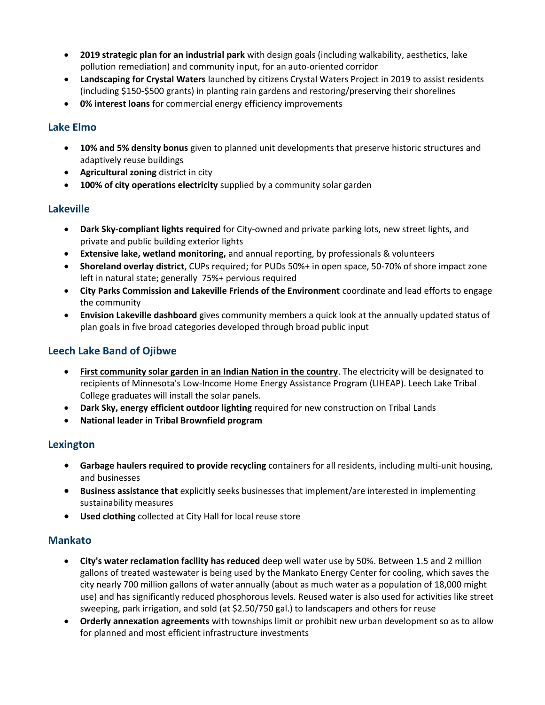- **2019 strategic plan for an industrial park** with design goals (including walkability, aesthetics, lake pollution remediation) and community input, for an auto-oriented corridor
- **Landscaping for Crystal Waters** launched by citizens Crystal Waters Project in 2019 to assist residents (including \$150-\$500 grants) in planting rain gardens and restoring/preserving their shorelines
- **0% interest loans** for commercial energy efficiency improvements

## **Lake Elmo**

- **10% and 5% density bonus** given to planned unit developments that preserve historic structures and adaptively reuse buildings
- **Agricultural zoning** district in city
- **100% of city operations electricity** supplied by a community solar garden

## **Lakeville**

- **Dark Sky-compliant lights required** for City-owned and private parking lots, new street lights, and private and public building exterior lights
- **Extensive lake, wetland monitoring,** and annual reporting, by professionals & volunteers
- **Shoreland overlay district**, CUPs required; for PUDs 50%+ in open space, 50-70% of shore impact zone left in natural state; generally 75%+ pervious required
- **City Parks Commission and Lakeville Friends of the Environment** coordinate and lead efforts to engage the community
- **Envision Lakeville dashboard** gives community members a quick look at the annually updated status of plan goals in five broad categories developed through broad public input

# **Leech Lake Band of Ojibwe**

- **First community solar garden in an Indian Nation in the country**. The electricity will be designated to recipients of Minnesota's Low-Income Home Energy Assistance Program (LIHEAP). Leech Lake Tribal College graduates will install the solar panels.
- **Dark Sky, energy efficient outdoor lighting** required for new construction on Tribal Lands
- **National leader in Tribal Brownfield program**

## **Lexington**

- **Garbage haulers required to provide recycling** containers for all residents, including multi-unit housing, and businesses
- **Business assistance that** explicitly seeks businesses that implement/are interested in implementing sustainability measures
- **Used clothing** collected at City Hall for local reuse store

## **Mankato**

- **City's water reclamation facility has reduced** deep well water use by 50%. Between 1.5 and 2 million gallons of treated wastewater is being used by the Mankato Energy Center for cooling, which saves the city nearly 700 million gallons of water annually (about as much water as a population of 18,000 might use) and has significantly reduced phosphorous levels. Reused water is also used for activities like street sweeping, park irrigation, and sold (at \$2.50/750 gal.) to landscapers and others for reuse
- **Orderly annexation agreements** with townships limit or prohibit new urban development so as to allow for planned and most efficient infrastructure investments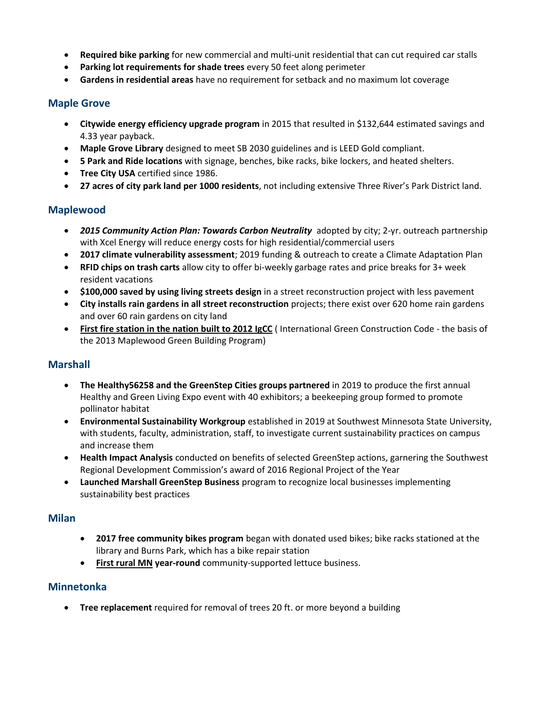- **Required bike parking** for new commercial and multi-unit residential that can cut required car stalls
- **Parking lot requirements for shade trees** every 50 feet along perimeter
- **Gardens in residential areas** have no requirement for setback and no maximum lot coverage

#### **Maple Grove**

- **Citywide energy efficiency upgrade program** in 2015 that resulted in \$132,644 estimated savings and 4.33 year payback.
- **Maple Grove Library** designed to meet SB 2030 guidelines and is LEED Gold compliant.
- **5 Park and Ride locations** with signage, benches, bike racks, bike lockers, and heated shelters.
- **Tree City USA** certified since 1986.
- **27 acres of city park land per 1000 residents**, not including extensive Three River's Park District land.

#### **Maplewood**

- *2015 Community Action Plan: Towards Carbon Neutrality* adopted by city; 2-yr. outreach partnership with Xcel Energy will reduce energy costs for high residential/commercial users
- **2017 climate vulnerability assessment**; 2019 funding & outreach to create a Climate Adaptation Plan
- **RFID chips on trash carts** allow city to offer bi-weekly garbage rates and price breaks for 3+ week resident vacations
- **\$100,000 saved by using living streets design** in a street reconstruction project with less pavement
- **City installs rain gardens in all street reconstruction** projects; there exist over 620 home rain gardens and over 60 rain gardens on city land
- **First fire station in the nation built to 2012 IgCC** ( International Green Construction Code the basis of the 2013 Maplewood Green Building Program)

## **Marshall**

- **The Healthy56258 and the GreenStep Cities groups partnered** in 2019 to produce the first annual Healthy and Green Living Expo event with 40 exhibitors; a beekeeping group formed to promote pollinator habitat
- **Environmental Sustainability Workgroup** established in 2019 at Southwest Minnesota State University, with students, faculty, administration, staff, to investigate current sustainability practices on campus and increase them
- **Health Impact Analysis** conducted on benefits of selected GreenStep actions, garnering the Southwest Regional Development Commission's award of 2016 Regional Project of the Year
- **Launched Marshall GreenStep Business** program to recognize local businesses implementing sustainability best practices

#### **Milan**

- **2017 free community bikes program** began with donated used bikes; bike racks stationed at the library and Burns Park, which has a bike repair station
- **First rural MN year-round** community-supported lettuce business.

# **Minnetonka**

• **Tree replacement** required for removal of trees 20 ft. or more beyond a building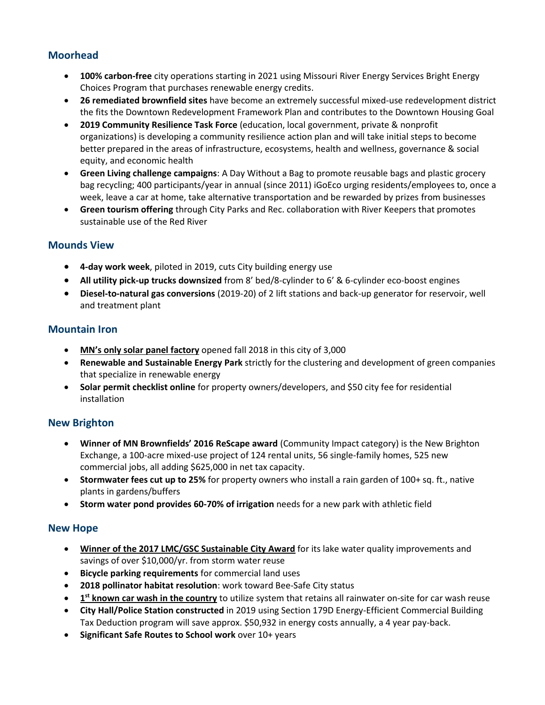# **Moorhead**

- **100% carbon-free** city operations starting in 2021 using Missouri River Energy Services Bright Energy Choices Program that purchases renewable energy credits.
- **26 remediated brownfield sites** have become an extremely successful mixed-use redevelopment district the fits the Downtown Redevelopment Framework Plan and contributes to the Downtown Housing Goal
- **2019 Community Resilience Task Force** (education, local government, private & nonprofit organizations) is developing a community resilience action plan and will take initial steps to become better prepared in the areas of infrastructure, ecosystems, health and wellness, governance & social equity, and economic health
- **Green Living challenge campaigns**: A Day Without a Bag to promote reusable bags and plastic grocery bag recycling; 400 participants/year in annual (since 2011) iGoEco urging residents/employees to, once a week, leave a car at home, take alternative transportation and be rewarded by prizes from businesses
- **Green tourism offering** through City Parks and Rec. collaboration with River Keepers that promotes sustainable use of the Red River

## **Mounds View**

- **4-day work week**, piloted in 2019, cuts City building energy use
- **All utility pick-up trucks downsized** from 8' bed/8-cylinder to 6' & 6-cylinder eco-boost engines
- **Diesel-to-natural gas conversions** (2019-20) of 2 lift stations and back-up generator for reservoir, well and treatment plant

## **Mountain Iron**

- **MN's only solar panel factory** opened fall 2018 in this city of 3,000
- **Renewable and Sustainable Energy Park** strictly for the clustering and development of green companies that specialize in renewable energy
- **Solar permit checklist online** for property owners/developers, and \$50 city fee for residential installation

## **New Brighton**

- **Winner of MN Brownfields' 2016 ReScape award** (Community Impact category) is the New Brighton Exchange, a 100-acre mixed-use project of 124 rental units, 56 single-family homes, 525 new commercial jobs, all adding \$625,000 in net tax capacity.
- **Stormwater fees cut up to 25%** for property owners who install a rain garden of 100+ sq. ft., native plants in gardens/buffers
- **Storm water pond provides 60-70% of irrigation** needs for a new park with athletic field

## **New Hope**

- **Winner of the 2017 LMC/GSC Sustainable City Award** for its lake water quality improvements and savings of over \$10,000/yr. from storm water reuse
- **Bicycle parking requirements** for commercial land uses
- **2018 pollinator habitat resolution**: work toward Bee-Safe City status
- **1 st known car wash in the country** to utilize system that retains all rainwater on-site for car wash reuse
- **City Hall/Police Station constructed** in 2019 using Section 179D Energy-Efficient Commercial Building Tax Deduction program will save approx. \$50,932 in energy costs annually, a 4 year pay-back.
- **Significant Safe Routes to School work** over 10+ years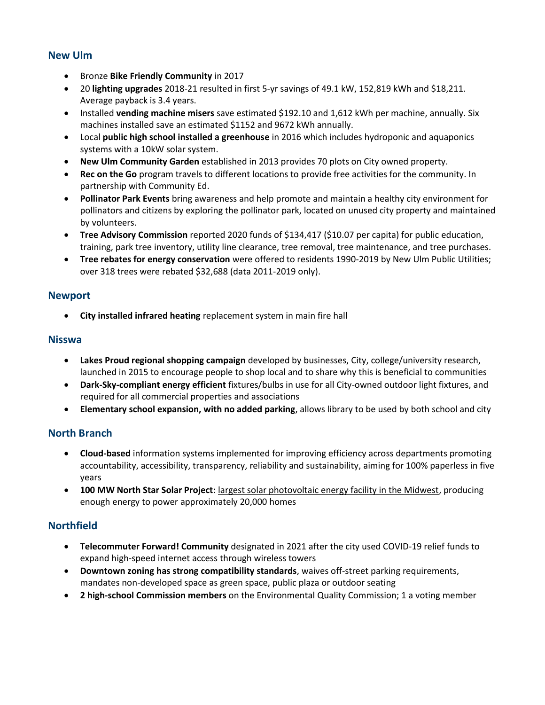#### **New Ulm**

- Bronze **Bike Friendly Community** in 2017
- 20 lighting upgrades 2018-21 resulted in first 5-yr savings of 49.1 kW, 152,819 kWh and \$18,211. Average payback is 3.4 years.
- Installed **vending machine misers** save estimated \$192.10 and 1,612 kWh per machine, annually. Six machines installed save an estimated \$1152 and 9672 kWh annually.
- Local **public high school installed a greenhouse** in 2016 which includes hydroponic and aquaponics systems with a 10kW solar system.
- **New Ulm Community Garden** established in 2013 provides 70 plots on City owned property.
- **Rec on the Go** program travels to different locations to provide free activities for the community. In partnership with Community Ed.
- **Pollinator Park Events** bring awareness and help promote and maintain a healthy city environment for pollinators and citizens by exploring the pollinator park, located on unused city property and maintained by volunteers.
- **Tree Advisory Commission** reported 2020 funds of \$134,417 (\$10.07 per capita) for public education, training, park tree inventory, utility line clearance, tree removal, tree maintenance, and tree purchases.
- **Tree rebates for energy conservation** were offered to residents 1990-2019 by New Ulm Public Utilities; over 318 trees were rebated \$32,688 (data 2011-2019 only).

#### **Newport**

• **City installed infrared heating** replacement system in main fire hall

#### **Nisswa**

- **Lakes Proud regional shopping campaign** developed by businesses, City, college/university research, launched in 2015 to encourage people to shop local and to share why this is beneficial to communities
- **Dark-Sky-compliant energy efficient** fixtures/bulbs in use for all City-owned outdoor light fixtures, and required for all commercial properties and associations
- **Elementary school expansion, with no added parking**, allows library to be used by both school and city

## **North Branch**

- **Cloud-based** information systems implemented for improving efficiency across departments promoting accountability, accessibility, transparency, reliability and sustainability, aiming for 100% paperless in five years
- **100 MW North Star Solar Project**: largest solar photovoltaic energy facility in the Midwest, producing enough energy to power approximately 20,000 homes

## **Northfield**

- **Telecommuter Forward! Community** designated in 2021 after the city used COVID-19 relief funds to expand high-speed internet access through wireless towers
- **Downtown zoning has strong compatibility standards**, waives off-street parking requirements, mandates non-developed space as green space, public plaza or outdoor seating
- **2 high-school Commission members** on the Environmental Quality Commission; 1 a voting member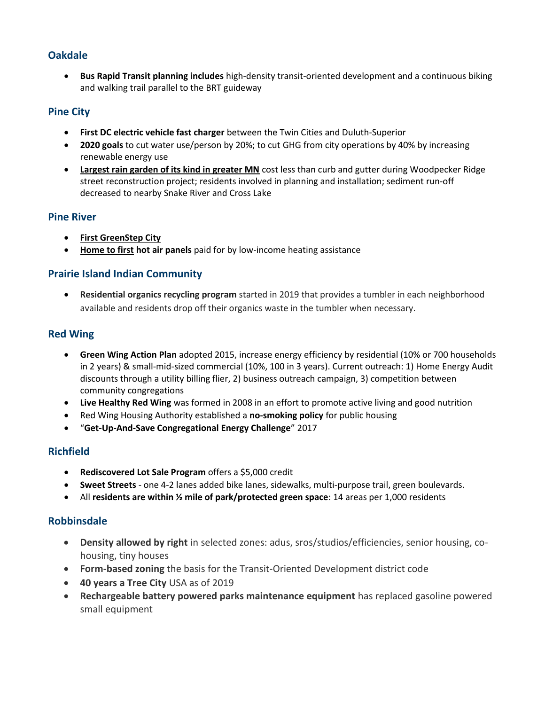# **Oakdale**

• **Bus Rapid Transit planning includes** high-density transit-oriented development and a continuous biking and walking trail parallel to the BRT guideway

# **Pine City**

- **First DC electric vehicle fast charger** between the Twin Cities and Duluth-Superior
- **2020 goals** to cut water use/person by 20%; to cut GHG from city operations by 40% by increasing renewable energy use
- **Largest rain garden of its kind in greater MN** cost less than curb and gutter during Woodpecker Ridge street reconstruction project; residents involved in planning and installation; sediment run-off decreased to nearby Snake River and Cross Lake

## **Pine River**

- **First GreenStep City**
- **Home to first hot air panels** paid for by low-income heating assistance

# **Prairie Island Indian Community**

• **Residential organics recycling program** started in 2019 that provides a tumbler in each neighborhood available and residents drop off their organics waste in the tumbler when necessary.

# **Red Wing**

- **Green Wing Action Plan** adopted 2015, increase energy efficiency by residential (10% or 700 households in 2 years) & small-mid-sized commercial (10%, 100 in 3 years). Current outreach: 1) Home Energy Audit discounts through a utility billing flier, 2) business outreach campaign, 3) competition between community congregations
- **Live Healthy Red Wing** was formed in 2008 in an effort to promote active living and good nutrition
- Red Wing Housing Authority established a **no-smoking policy** for public housing
- "**Get-Up-And-Save Congregational Energy Challenge**" 2017

## **Richfield**

- **Rediscovered Lot Sale Program** offers a \$5,000 credit
- **Sweet Streets** one 4-2 lanes added bike lanes, sidewalks, multi-purpose trail, green boulevards.
- All **residents are within ½ mile of park/protected green space**: 14 areas per 1,000 residents

## **Robbinsdale**

- **Density allowed by right** in selected zones: adus, sros/studios/efficiencies, senior housing, cohousing, tiny houses
- **Form-based zoning** the basis for the Transit-Oriented Development district code
- **40 years a Tree City** USA as of 2019
- **Rechargeable battery powered parks maintenance equipment** has replaced gasoline powered small equipment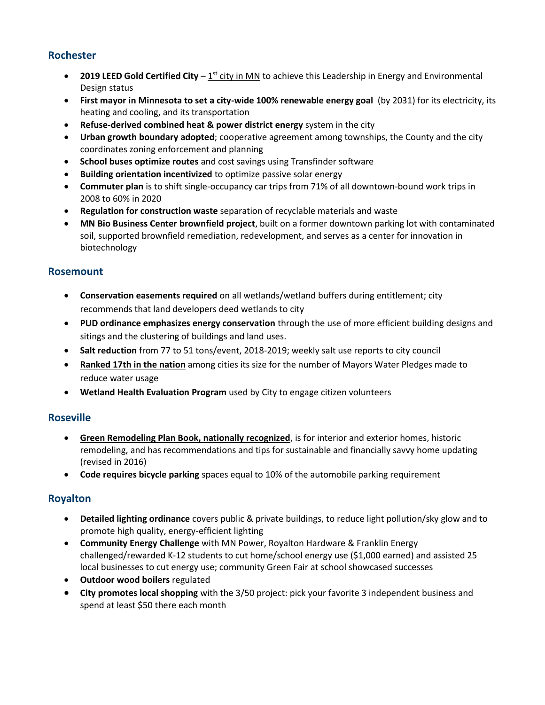## **Rochester**

- **2019 LEED Gold Certified City** 1<sup>st</sup> city in MN to achieve this Leadership in Energy and Environmental Design status
- **First mayor in Minnesota to set a city-wide 100% renewable energy goal** (by 2031) for its electricity, its heating and cooling, and its transportation
- **Refuse-derived combined heat & power district energy** system in the city
- **Urban growth boundary adopted**; cooperative agreement among townships, the County and the city coordinates zoning enforcement and planning
- **School buses optimize routes** and cost savings using Transfinder software
- **Building orientation incentivized** to optimize passive solar energy
- **Commuter plan** is to shift single-occupancy car trips from 71% of all downtown-bound work trips in 2008 to 60% in 2020
- **Regulation for construction waste** separation of recyclable materials and waste
- **MN Bio Business Center brownfield project**, built on a former downtown parking lot with contaminated soil, supported brownfield remediation, redevelopment, and serves as a center for innovation in biotechnology

## **Rosemount**

- **Conservation easements required** on all wetlands/wetland buffers during entitlement; city recommends that land developers deed wetlands to city
- **PUD ordinance emphasizes energy conservation** through the use of more efficient building designs and sitings and the clustering of buildings and land uses.
- **Salt reduction** from 77 to 51 tons/event, 2018-2019; weekly salt use reports to city council
- **Ranked 17th in the nation** among cities its size for the number of Mayors Water Pledges made to reduce water usage
- **Wetland Health Evaluation Program** used by City to engage citizen volunteers

# **Roseville**

- **Green Remodeling Plan Book, nationally recognized**, is for interior and exterior homes, historic remodeling, and has recommendations and tips for sustainable and financially savvy home updating (revised in 2016)
- **Code requires bicycle parking** spaces equal to 10% of the automobile parking requirement

## **Royalton**

- **Detailed lighting ordinance** covers public & private buildings, to reduce light pollution/sky glow and to promote high quality, energy-efficient lighting
- **Community Energy Challenge** with MN Power, Royalton Hardware & Franklin Energy challenged/rewarded K-12 students to cut home/school energy use (\$1,000 earned) and assisted 25 local businesses to cut energy use; community Green Fair at school showcased successes
- **Outdoor wood boilers** regulated
- **City promotes local shopping** with the 3/50 project: pick your favorite 3 independent business and spend at least \$50 there each month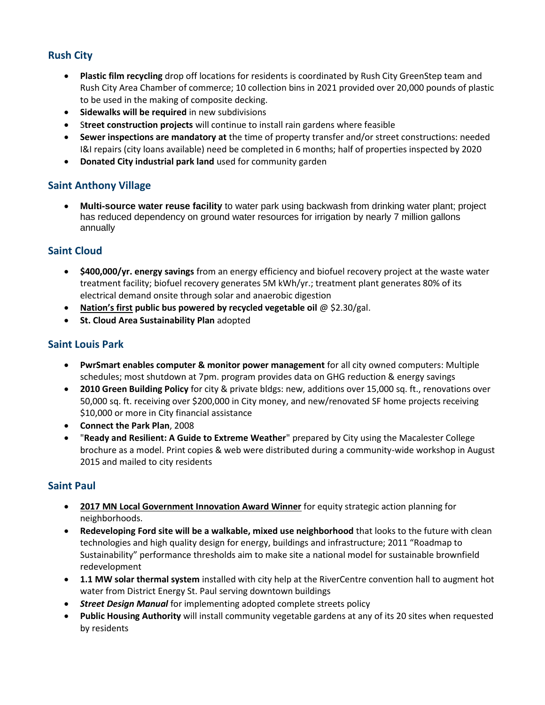# **Rush City**

- **Plastic film recycling** drop off locations for residents is coordinated by Rush City GreenStep team and Rush City Area Chamber of commerce; 10 collection bins in 2021 provided over 20,000 pounds of plastic to be used in the making of composite decking.
- **Sidewalks will be required** in new subdivisions
- S**treet construction projects** will continue to install rain gardens where feasible
- **Sewer inspections are mandatory at** the time of property transfer and/or street constructions: needed I&I repairs (city loans available) need be completed in 6 months; half of properties inspected by 2020
- **Donated City industrial park land** used for community garden

# **Saint Anthony Village**

• **Multi-source water reuse facility** to water park using backwash from drinking water plant; project has reduced dependency on ground water resources for irrigation by nearly 7 million gallons annually

## **Saint Cloud**

- **\$400,000/yr. energy savings** from an energy efficiency and biofuel recovery project at the waste water treatment facility; biofuel recovery generates 5M kWh/yr.; treatment plant generates 80% of its electrical demand onsite through solar and anaerobic digestion
- **Nation's first public bus powered by recycled vegetable oil** @ \$2.30/gal.
- **St. Cloud Area Sustainability Plan** adopted

# **Saint Louis Park**

- **PwrSmart enables computer & monitor power management** for all city owned computers: Multiple schedules; most shutdown at 7pm. program provides data on GHG reduction & energy savings
- **2010 Green Building Policy** for city & private bldgs: new, additions over 15,000 sq. ft., renovations over 50,000 sq. ft. receiving over \$200,000 in City money, and new/renovated SF home projects receiving \$10,000 or more in City financial assistance
- **Connect the Park Plan**, 2008
- "**Ready and Resilient: A Guide to Extreme Weather**" prepared by City using the Macalester College brochure as a model. Print copies & web were distributed during a community-wide workshop in August 2015 and mailed to city residents

## **Saint Paul**

- **2017 MN Local Government Innovation Award Winner** for equity strategic action planning for neighborhoods.
- **Redeveloping Ford site will be a walkable, mixed use neighborhood** that looks to the future with clean technologies and high quality design for energy, buildings and infrastructure; 2011 "Roadmap to Sustainability" performance thresholds aim to make site a national model for sustainable brownfield redevelopment
- **1.1 MW solar thermal system** installed with city help at the RiverCentre convention hall to augment hot water from District Energy St. Paul serving downtown buildings
- *Street Design Manual* for implementing adopted complete streets policy
- **Public Housing Authority** will install community vegetable gardens at any of its 20 sites when requested by residents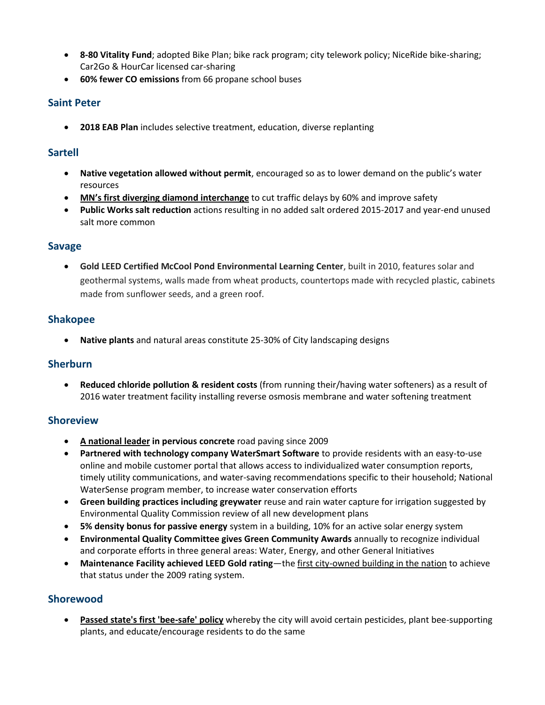- **8-80 Vitality Fund**; adopted Bike Plan; bike rack program; city telework policy; NiceRide bike-sharing; Car2Go & HourCar licensed car-sharing
- **60% fewer CO emissions** from 66 propane school buses

#### **Saint Peter**

• **2018 EAB Plan** includes selective treatment, education, diverse replanting

#### **Sartell**

- **Native vegetation allowed without permit**, encouraged so as to lower demand on the public's water resources
- **MN's first diverging diamond interchange** to cut traffic delays by 60% and improve safety
- **Public Works salt reduction** actions resulting in no added salt ordered 2015-2017 and year-end unused salt more common

#### **Savage**

• **Gold LEED Certified McCool Pond Environmental Learning Center**, built in 2010, features solar and geothermal systems, walls made from wheat products, countertops made with recycled plastic, cabinets made from sunflower seeds, and a green roof.

#### **Shakopee**

• **Native plants** and natural areas constitute 25-30% of City landscaping designs

#### **Sherburn**

• **Reduced chloride pollution & resident costs** (from running their/having water softeners) as a result of 2016 water treatment facility installing reverse osmosis membrane and water softening treatment

#### **Shoreview**

- **A national leader in pervious concrete** road paving since 2009
- **Partnered with technology company WaterSmart Software** to provide residents with an easy-to-use online and mobile customer portal that allows access to individualized water consumption reports, timely utility communications, and water-saving recommendations specific to their household; National WaterSense program member, to increase water conservation efforts
- **Green building practices including greywater** reuse and rain water capture for irrigation suggested by Environmental Quality Commission review of all new development plans
- **5% density bonus for passive energy** system in a building, 10% for an active solar energy system
- **Environmental Quality Committee gives Green Community Awards** annually to recognize individual and corporate efforts in three general areas: Water, Energy, and other General Initiatives
- **Maintenance Facility achieved LEED Gold rating**—the first city-owned building in the nation to achieve that status under the 2009 rating system.

## **Shorewood**

• **Passed state's first 'bee-safe' policy** whereby the city will avoid certain pesticides, plant bee-supporting plants, and educate/encourage residents to do the same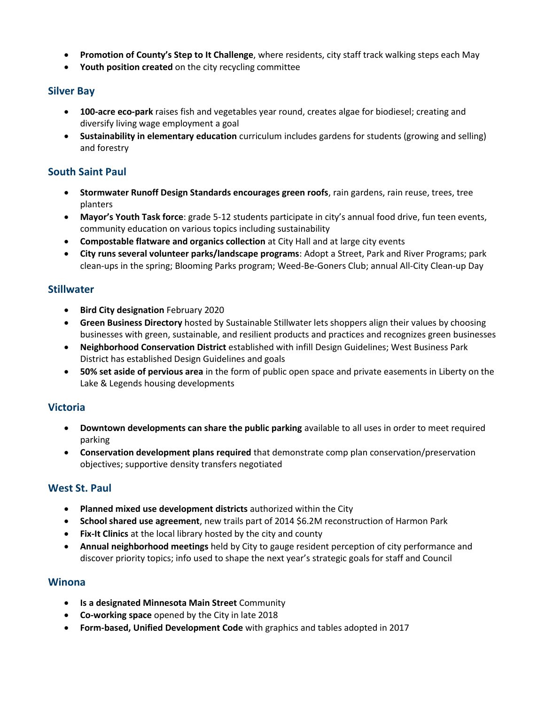- **Promotion of County's Step to It Challenge**, where residents, city staff track walking steps each May
- **Youth position created** on the city recycling committee

#### **Silver Bay**

- **100-acre eco-park** raises fish and vegetables year round, creates algae for biodiesel; creating and diversify living wage employment a goal
- **Sustainability in elementary education** curriculum includes gardens for students (growing and selling) and forestry

#### **South Saint Paul**

- **Stormwater Runoff Design Standards encourages green roofs**, rain gardens, rain reuse, trees, tree planters
- **Mayor's Youth Task force**: grade 5-12 students participate in city's annual food drive, fun teen events, community education on various topics including sustainability
- **Compostable flatware and organics collection** at City Hall and at large city events
- **City runs several volunteer parks/landscape programs**: Adopt a Street, Park and River Programs; park clean-ups in the spring; Blooming Parks program; Weed-Be-Goners Club; annual All-City Clean-up Day

#### **Stillwater**

- **Bird City designation** February 2020
- **Green Business Directory** hosted by Sustainable Stillwater lets shoppers align their values by choosing businesses with green, sustainable, and resilient products and practices and recognizes green businesses
- **Neighborhood Conservation District** established with infill Design Guidelines; West Business Park District has established Design Guidelines and goals
- **50% set aside of pervious area** in the form of public open space and private easements in Liberty on the Lake & Legends housing developments

#### **Victoria**

- **Downtown developments can share the public parking** available to all uses in order to meet required parking
- **Conservation development plans required** that demonstrate comp plan conservation/preservation objectives; supportive density transfers negotiated

## **West St. Paul**

- **Planned mixed use development districts** authorized within the City
- **School shared use agreement**, new trails part of 2014 \$6.2M reconstruction of Harmon Park
- **Fix-It Clinics** at the local library hosted by the city and county
- **Annual neighborhood meetings** held by City to gauge resident perception of city performance and discover priority topics; info used to shape the next year's strategic goals for staff and Council

#### **Winona**

- **Is a designated Minnesota Main Street** Community
- **Co-working space** opened by the City in late 2018
- **Form-based, Unified Development Code** with graphics and tables adopted in 2017